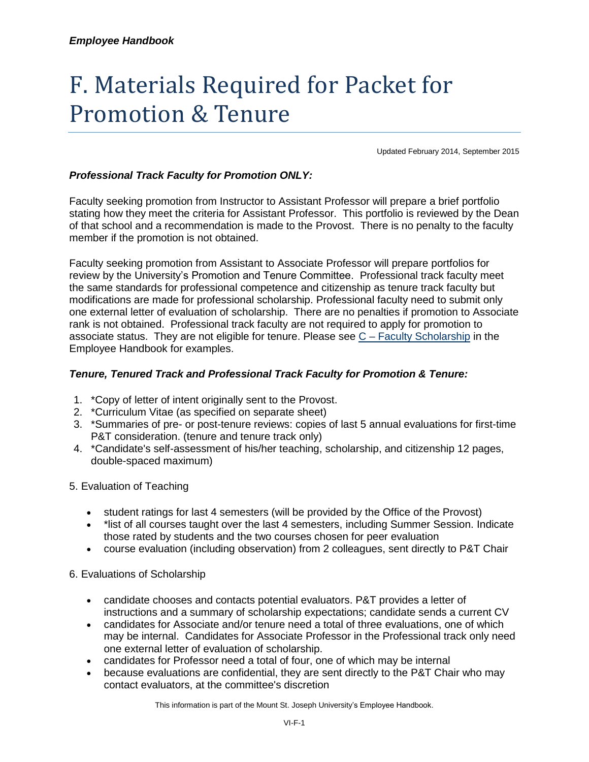# F. Materials Required for Packet for Promotion & Tenure

Updated February 2014, September 2015

# *Professional Track Faculty for Promotion ONLY:*

Faculty seeking promotion from Instructor to Assistant Professor will prepare a brief portfolio stating how they meet the criteria for Assistant Professor. This portfolio is reviewed by the Dean of that school and a recommendation is made to the Provost. There is no penalty to the faculty member if the promotion is not obtained.

Faculty seeking promotion from Assistant to Associate Professor will prepare portfolios for review by the University's Promotion and Tenure Committee. Professional track faculty meet the same standards for professional competence and citizenship as tenure track faculty but modifications are made for professional scholarship. Professional faculty need to submit only one external letter of evaluation of scholarship. There are no penalties if promotion to Associate rank is not obtained. Professional track faculty are not required to apply for promotion to associate status. They are not eligible for tenure. Please see C – [Faculty Scholarship](https://mymount.msj.edu/ICS/icsfs/C-Faculty_Scholarship.pdf?target=bd8706d5-5c8c-4bd4-af3b-4a3a2d1582ab) in the Employee Handbook for examples.

#### *Tenure, Tenured Track and Professional Track Faculty for Promotion & Tenure:*

- 1. \*Copy of letter of intent originally sent to the Provost.
- 2. \*Curriculum Vitae (as specified on separate sheet)
- 3. \*Summaries of pre- or post-tenure reviews: copies of last 5 annual evaluations for first-time P&T consideration. (tenure and tenure track only)
- 4. \*Candidate's self-assessment of his/her teaching, scholarship, and citizenship 12 pages, double-spaced maximum)
- 5. Evaluation of Teaching
	- student ratings for last 4 semesters (will be provided by the Office of the Provost)
	- \*list of all courses taught over the last 4 semesters, including Summer Session. Indicate those rated by students and the two courses chosen for peer evaluation
	- course evaluation (including observation) from 2 colleagues, sent directly to P&T Chair

#### 6. Evaluations of Scholarship

- candidate chooses and contacts potential evaluators. P&T provides a letter of instructions and a summary of scholarship expectations; candidate sends a current CV
- candidates for Associate and/or tenure need a total of three evaluations, one of which may be internal. Candidates for Associate Professor in the Professional track only need one external letter of evaluation of scholarship.
- candidates for Professor need a total of four, one of which may be internal
- because evaluations are confidential, they are sent directly to the P&T Chair who may contact evaluators, at the committee's discretion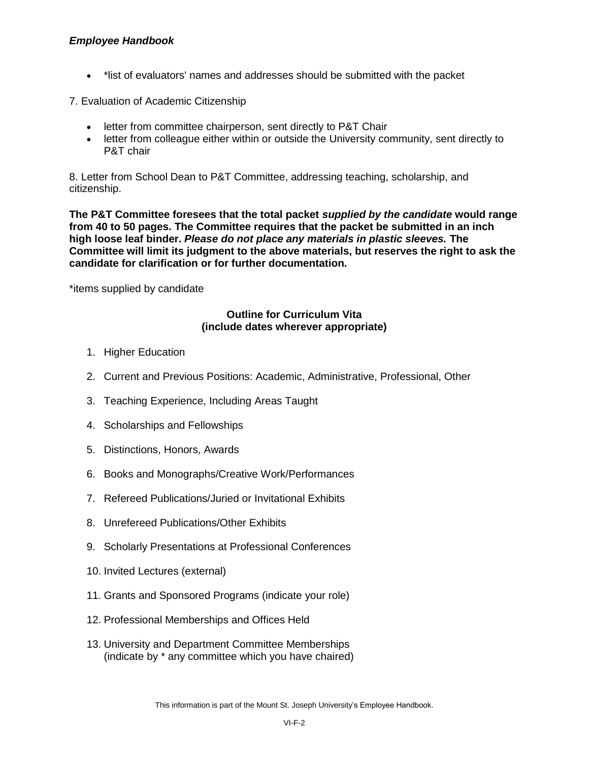# *Employee Handbook*

\*list of evaluators' names and addresses should be submitted with the packet

7. Evaluation of Academic Citizenship

- **•** letter from committee chairperson, sent directly to P&T Chair
- letter from colleague either within or outside the University community, sent directly to P&T chair

8. Letter from School Dean to P&T Committee, addressing teaching, scholarship, and citizenship.

**The P&T Committee foresees that the total packet** *supplied by the candidate* **would range from 40 to 50 pages. The Committee requires that the packet be submitted in an inch high loose leaf binder.** *Please do not place any materials in plastic sleeves.* **The Committee will limit its judgment to the above materials, but reserves the right to ask the candidate for clarification or for further documentation.**

\*items supplied by candidate

#### **Outline for Curriculum Vita (include dates wherever appropriate)**

- 1. Higher Education
- 2. Current and Previous Positions: Academic, Administrative, Professional, Other
- 3. Teaching Experience, Including Areas Taught
- 4. Scholarships and Fellowships
- 5. Distinctions, Honors, Awards
- 6. Books and Monographs/Creative Work/Performances
- 7. Refereed Publications/Juried or Invitational Exhibits
- 8. Unrefereed Publications/Other Exhibits
- 9. Scholarly Presentations at Professional Conferences
- 10. Invited Lectures (external)
- 11. Grants and Sponsored Programs (indicate your role)
- 12. Professional Memberships and Offices Held
- 13. University and Department Committee Memberships (indicate by \* any committee which you have chaired)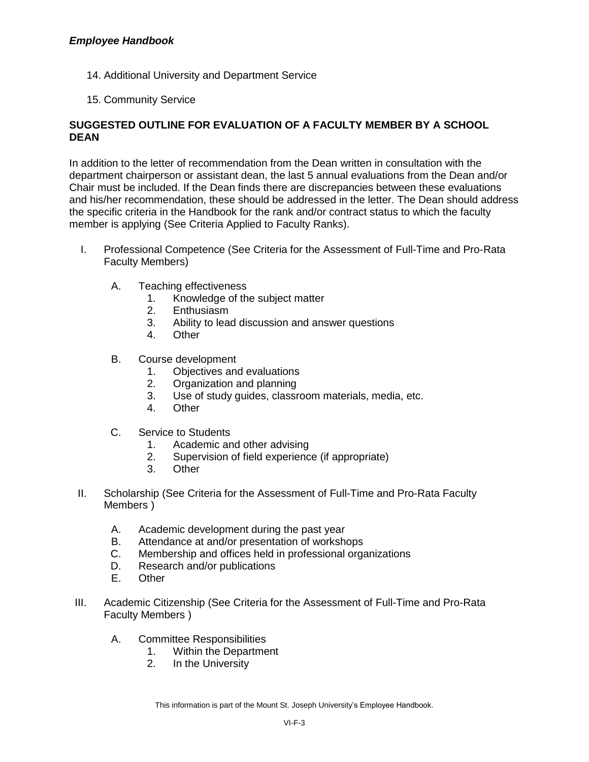- 14. Additional University and Department Service
- 15. Community Service

# **SUGGESTED OUTLINE FOR EVALUATION OF A FACULTY MEMBER BY A SCHOOL DEAN**

In addition to the letter of recommendation from the Dean written in consultation with the department chairperson or assistant dean, the last 5 annual evaluations from the Dean and/or Chair must be included. If the Dean finds there are discrepancies between these evaluations and his/her recommendation, these should be addressed in the letter. The Dean should address the specific criteria in the Handbook for the rank and/or contract status to which the faculty member is applying (See Criteria Applied to Faculty Ranks).

- I. Professional Competence (See Criteria for the Assessment of Full-Time and Pro-Rata Faculty Members)
	- A. Teaching effectiveness
		- 1. Knowledge of the subject matter
		- 2. Enthusiasm
		- 3. Ability to lead discussion and answer questions
		- 4. Other
	- B. Course development
		- 1. Objectives and evaluations
		- 2. Organization and planning
		- 3. Use of study guides, classroom materials, media, etc.
		- 4. Other
	- C. Service to Students
		- 1. Academic and other advising
		- 2. Supervision of field experience (if appropriate)
		- 3. Other
- II. Scholarship (See Criteria for the Assessment of Full-Time and Pro-Rata Faculty Members )
	- A. Academic development during the past year
	- B. Attendance at and/or presentation of workshops
	- C. Membership and offices held in professional organizations
	- D. Research and/or publications
	- E. Other
- III. Academic Citizenship (See Criteria for the Assessment of Full-Time and Pro-Rata Faculty Members )
	- A. Committee Responsibilities
		- 1. Within the Department
		- 2. In the University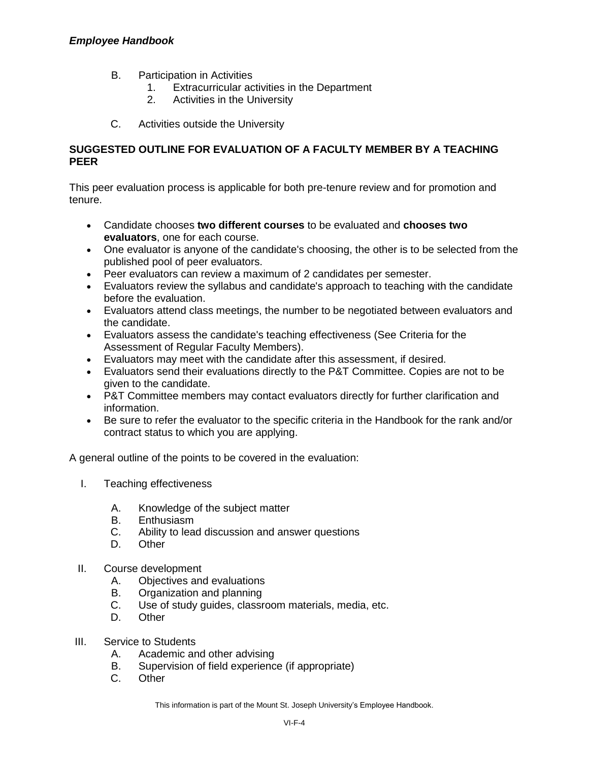#### *Employee Handbook*

- B. Participation in Activities
	- 1. Extracurricular activities in the Department
	- 2. Activities in the University
- C. Activities outside the University

#### **SUGGESTED OUTLINE FOR EVALUATION OF A FACULTY MEMBER BY A TEACHING PEER**

This peer evaluation process is applicable for both pre-tenure review and for promotion and tenure.

- Candidate chooses **two different courses** to be evaluated and **chooses two evaluators**, one for each course.
- One evaluator is anyone of the candidate's choosing, the other is to be selected from the published pool of peer evaluators.
- Peer evaluators can review a maximum of 2 candidates per semester.
- Evaluators review the syllabus and candidate's approach to teaching with the candidate before the evaluation.
- Evaluators attend class meetings, the number to be negotiated between evaluators and the candidate.
- Evaluators assess the candidate's teaching effectiveness (See Criteria for the Assessment of Regular Faculty Members).
- Evaluators may meet with the candidate after this assessment, if desired.
- Evaluators send their evaluations directly to the P&T Committee. Copies are not to be given to the candidate.
- P&T Committee members may contact evaluators directly for further clarification and information.
- Be sure to refer the evaluator to the specific criteria in the Handbook for the rank and/or contract status to which you are applying.

A general outline of the points to be covered in the evaluation:

- I. Teaching effectiveness
	- A. Knowledge of the subject matter
	- B. Enthusiasm
	- C. Ability to lead discussion and answer questions
	- D. Other
- II. Course development
	- A. Objectives and evaluations
	- B. Organization and planning
	- C. Use of study guides, classroom materials, media, etc.
	- D. Other
- III. Service to Students
	- A. Academic and other advising
	- B. Supervision of field experience (if appropriate)
	- C. Other